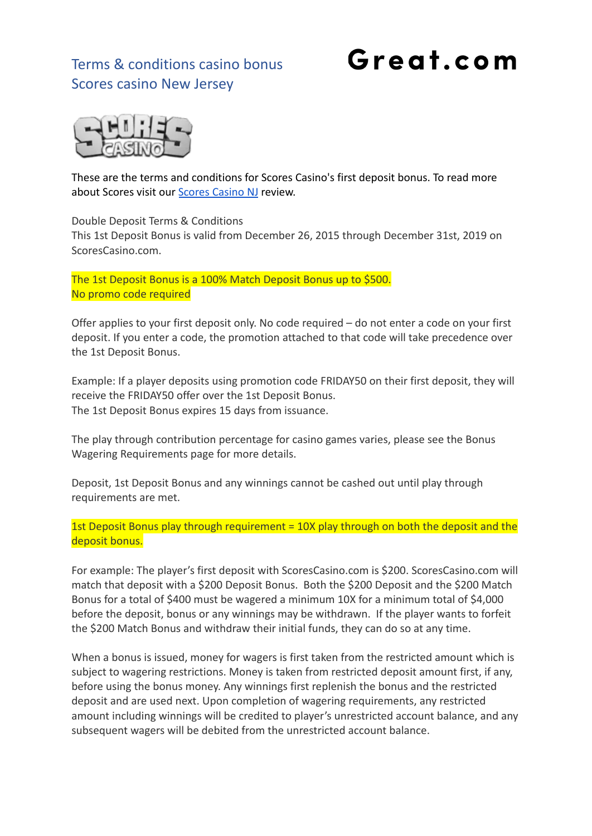## Terms & conditions casino bonus Scores casino New Jersey

# Great.com



These are the terms and conditions for Scores Casino's first deposit bonus. To read more about Scores visit our [Scores Casino NJ](https://great.com/en-us/online-casino/scores-online-casino-nj/) review.

Double Deposit Terms & Conditions

This 1st Deposit Bonus is valid from December 26, 2015 through December 31st, 2019 on ScoresCasino.com.

The 1st Deposit Bonus is a 100% Match Deposit Bonus up to \$500. No promo code required

Offer applies to your first deposit only. No code required – do not enter a code on your first deposit. If you enter a code, the promotion attached to that code will take precedence over the 1st Deposit Bonus.

Example: If a player deposits using promotion code FRIDAY50 on their first deposit, they will receive the FRIDAY50 offer over the 1st Deposit Bonus. The 1st Deposit Bonus expires 15 days from issuance.

The play through contribution percentage for casino games varies, please see the Bonus Wagering Requirements page for more details.

Deposit, 1st Deposit Bonus and any winnings cannot be cashed out until play through requirements are met.

1st Deposit Bonus play through requirement = 10X play through on both the deposit and the deposit bonus.

For example: The player's first deposit with ScoresCasino.com is \$200. ScoresCasino.com will match that deposit with a \$200 Deposit Bonus. Both the \$200 Deposit and the \$200 Match Bonus for a total of \$400 must be wagered a minimum 10X for a minimum total of \$4,000 before the deposit, bonus or any winnings may be withdrawn. If the player wants to forfeit the \$200 Match Bonus and withdraw their initial funds, they can do so at any time.

When a bonus is issued, money for wagers is first taken from the restricted amount which is subject to wagering restrictions. Money is taken from restricted deposit amount first, if any, before using the bonus money. Any winnings first replenish the bonus and the restricted deposit and are used next. Upon completion of wagering requirements, any restricted amount including winnings will be credited to player's unrestricted account balance, and any subsequent wagers will be debited from the unrestricted account balance.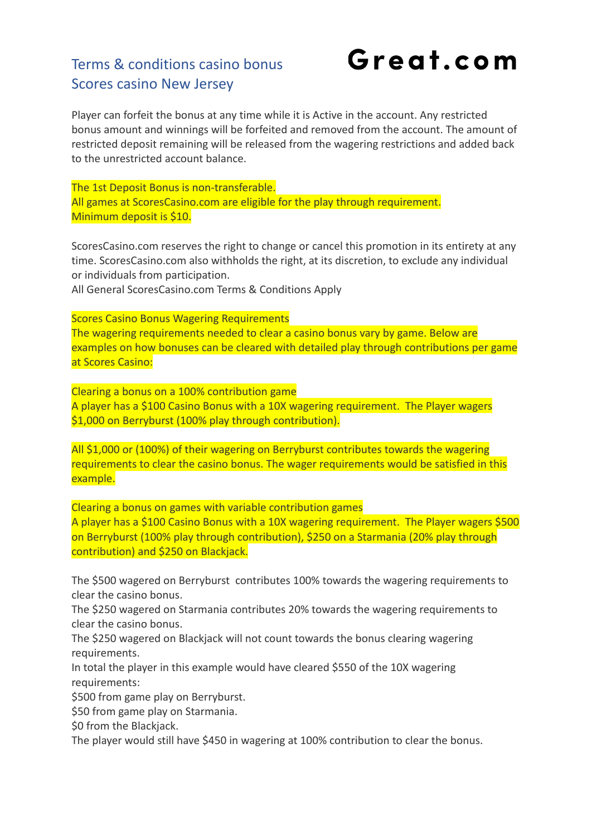### Terms & conditions casino bonus Scores casino New Jersey

Great.com

Player can forfeit the bonus at any time while it is Active in the account. Any restricted bonus amount and winnings will be forfeited and removed from the account. The amount of restricted deposit remaining will be released from the wagering restrictions and added back to the unrestricted account balance.

The 1st Deposit Bonus is non-transferable. All games at ScoresCasino.com are eligible for the play through requirement. Minimum deposit is \$10.

ScoresCasino.com reserves the right to change or cancel this promotion in its entirety at any time. ScoresCasino.com also withholds the right, at its discretion, to exclude any individual or individuals from participation.

All General ScoresCasino.com Terms & Conditions Apply

Scores Casino Bonus Wagering Requirements The wagering requirements needed to clear a casino bonus vary by game. Below are examples on how bonuses can be cleared with detailed play through contributions per game at Scores Casino:

Clearing a bonus on a 100% contribution game A player has a \$100 Casino Bonus with a 10X wagering requirement. The Player wagers \$1,000 on Berryburst (100% play through contribution).

All \$1,000 or (100%) of their wagering on Berryburst contributes towards the wagering requirements to clear the casino bonus. The wager requirements would be satisfied in this example.

Clearing a bonus on games with variable contribution games A player has a \$100 Casino Bonus with a 10X wagering requirement. The Player wagers \$500 on Berryburst (100% play through contribution), \$250 on a Starmania (20% play through contribution) and \$250 on Blackjack.

The \$500 wagered on Berryburst contributes 100% towards the wagering requirements to clear the casino bonus.

The \$250 wagered on Starmania contributes 20% towards the wagering requirements to clear the casino bonus.

The \$250 wagered on Blackjack will not count towards the bonus clearing wagering requirements.

In total the player in this example would have cleared \$550 of the 10X wagering requirements:

\$500 from game play on Berryburst.

\$50 from game play on Starmania.

\$0 from the Blackjack.

The player would still have \$450 in wagering at 100% contribution to clear the bonus.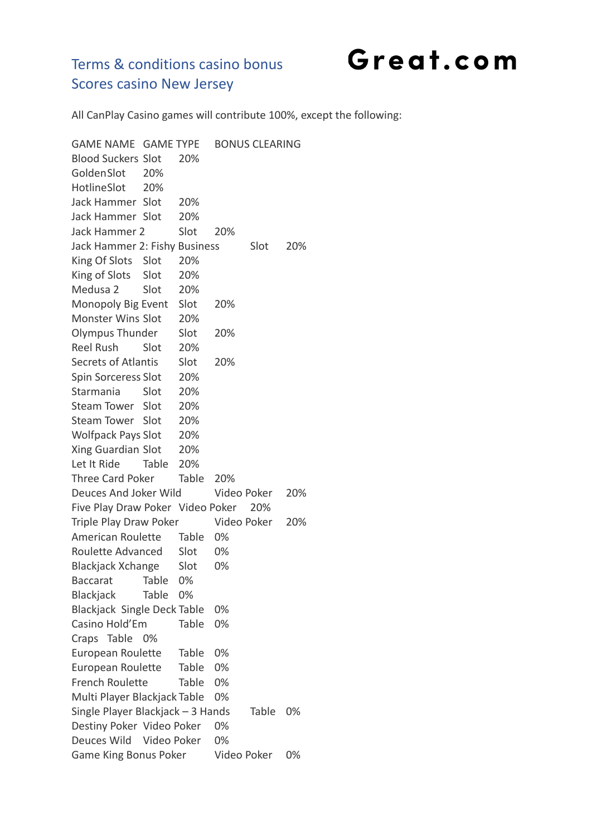Great.com

### Terms & conditions casino bonus Scores casino New Jersey

All CanPlay Casino games will contribute 100%, except the following:

GAME NAME GAME TYPE BONUS CLEARING Blood Suckers Slot 20% GoldenSlot 20% HotlineSlot 20% Jack Hammer Slot 20% Jack Hammer Slot 20% Jack Hammer 2 Slot 20% Jack Hammer 2: Fishy Business Slot 20% King Of Slots Slot 20% King of Slots Slot 20% Medusa 2 Slot 20% Monopoly Big Event Slot 20% Monster Wins Slot 20% Olympus Thunder Slot 20% Reel Rush Slot 20% Secrets of Atlantis Slot 20% Spin Sorceress Slot 20% Starmania Slot 20% Steam Tower Slot 20% Steam Tower Slot 20% Wolfpack Pays Slot 20% Xing Guardian Slot 20% Let It Ride Table 20% Three Card Poker Table 20% Deuces And Joker Wild Video Poker 20% Five Play Draw Poker Video Poker 20% Triple Play Draw Poker Video Poker 20% American Roulette Table 0% Roulette Advanced Slot 0% Blackjack Xchange Slot 0% Baccarat Table 0% Blackjack Table 0% Blackjack Single Deck Table 0% Casino Hold'Em Table 0% Craps Table 0% European Roulette Table 0% European Roulette Table 0% French Roulette Table 0% Multi Player Blackjack Table 0% Single Player Blackjack – 3 Hands Table 0% Destiny Poker Video Poker 0% Deuces Wild Video Poker 0% Game King Bonus Poker Video Poker 0%